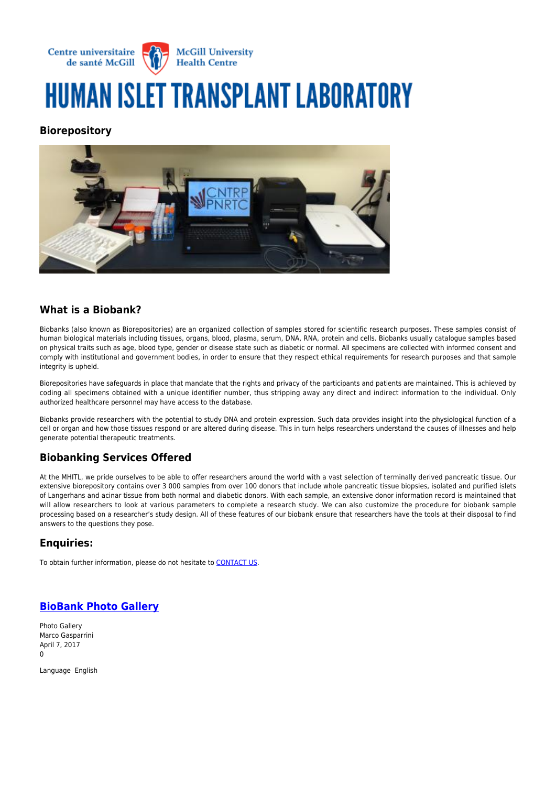

# **HUMAN ISLET TRANSPLANT LABORATORY**

#### **Biorepository**



### **What is a Biobank?**

Biobanks (also known as Biorepositories) are an organized collection of samples stored for scientific research purposes. These samples consist of human biological materials including tissues, organs, blood, plasma, serum, DNA, RNA, protein and cells. Biobanks usually catalogue samples based on physical traits such as age, blood type, gender or disease state such as diabetic or normal. All specimens are collected with informed consent and comply with institutional and government bodies, in order to ensure that they respect ethical requirements for research purposes and that sample integrity is upheld.

Biorepositories have safeguards in place that mandate that the rights and privacy of the participants and patients are maintained. This is achieved by coding all specimens obtained with a unique identifier number, thus stripping away any direct and indirect information to the individual. Only authorized healthcare personnel may have access to the database.

Biobanks provide researchers with the potential to study DNA and protein expression. Such data provides insight into the physiological function of a cell or organ and how those tissues respond or are altered during disease. This in turn helps researchers understand the causes of illnesses and help generate potential therapeutic treatments.

## **Biobanking Services Offered**

At the MHITL, we pride ourselves to be able to offer researchers around the world with a vast selection of terminally derived pancreatic tissue. Our extensive biorepository contains over 3 000 samples from over 100 donors that include whole pancreatic tissue biopsies, isolated and purified islets of Langerhans and acinar tissue from both normal and diabetic donors. With each sample, an extensive donor information record is maintained that will allow researchers to look at various parameters to complete a research study. We can also customize the procedure for biobank sample processing based on a researcher's study design. All of these features of our biobank ensure that researchers have the tools at their disposal to find answers to the questions they pose.

### **Enquiries:**

To obtain further information, please do not hesitate to [CONTACT US.](https://isletlab.org/node/256)

## **[BioBank Photo Gallery](https://isletlab.org/multimedia/photo-galleries/biobank-photo-gallery)**

Photo Gallery Marco Gasparrini April 7, 2017  $\Omega$ 

Language English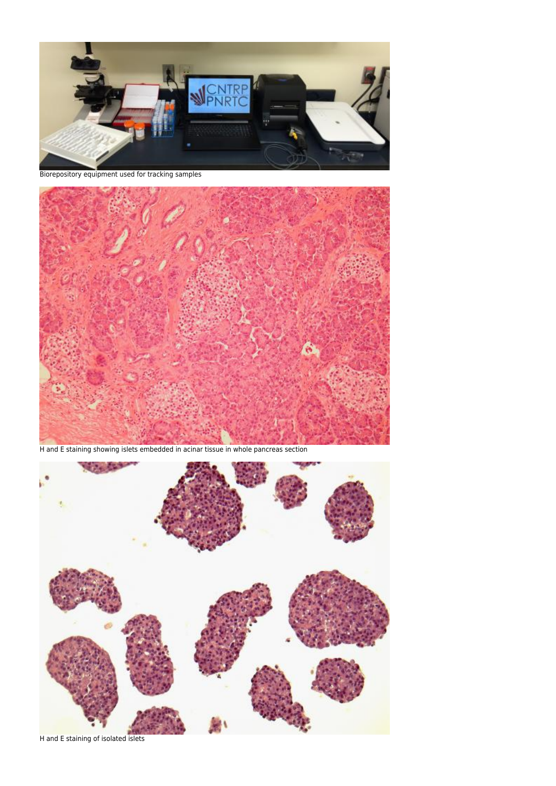

Biorepository equipment used for tracking samples



H and E staining showing islets embedded in acinar tissue in whole pancreas section